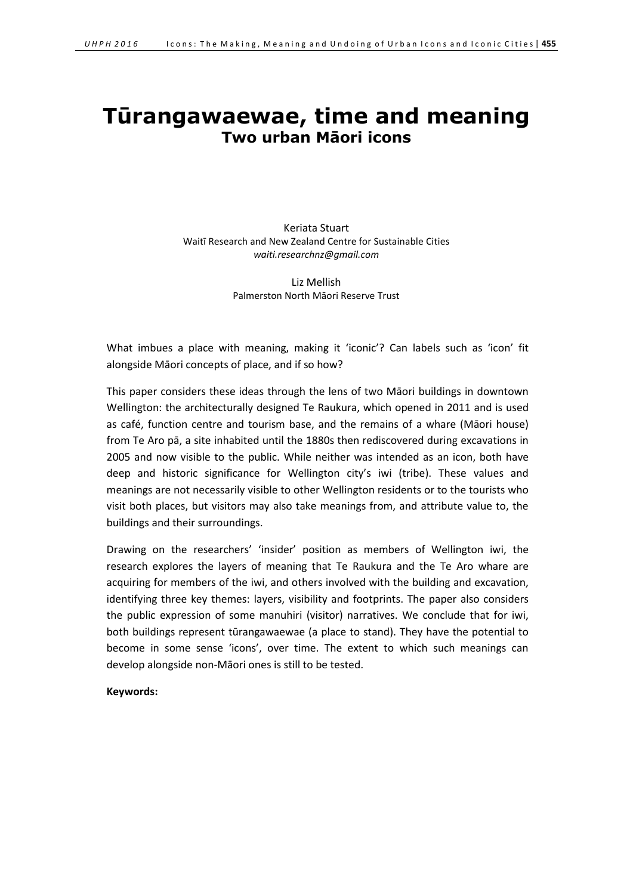# **Tūrangawaewae, time and meaning Two urban Māori icons**

Keriata Stuart Waitī Research and New Zealand Centre for Sustainable Cities *waiti.researchnz@gmail.com*

> Liz Mellish Palmerston North Māori Reserve Trust

What imbues a place with meaning, making it 'iconic'? Can labels such as 'icon' fit alongside Māori concepts of place, and if so how?

This paper considers these ideas through the lens of two Māori buildings in downtown Wellington: the architecturally designed Te Raukura, which opened in 2011 and is used as café, function centre and tourism base, and the remains of a whare (Māori house) from Te Aro pā, a site inhabited until the 1880s then rediscovered during excavations in 2005 and now visible to the public. While neither was intended as an icon, both have deep and historic significance for Wellington city's iwi (tribe). These values and meanings are not necessarily visible to other Wellington residents or to the tourists who visit both places, but visitors may also take meanings from, and attribute value to, the buildings and their surroundings.

Drawing on the researchers' 'insider' position as members of Wellington iwi, the research explores the layers of meaning that Te Raukura and the Te Aro whare are acquiring for members of the iwi, and others involved with the building and excavation, identifying three key themes: layers, visibility and footprints. The paper also considers the public expression of some manuhiri (visitor) narratives. We conclude that for iwi, both buildings represent tūrangawaewae (a place to stand). They have the potential to become in some sense 'icons', over time. The extent to which such meanings can develop alongside non-Māori ones is still to be tested.

**Keywords:**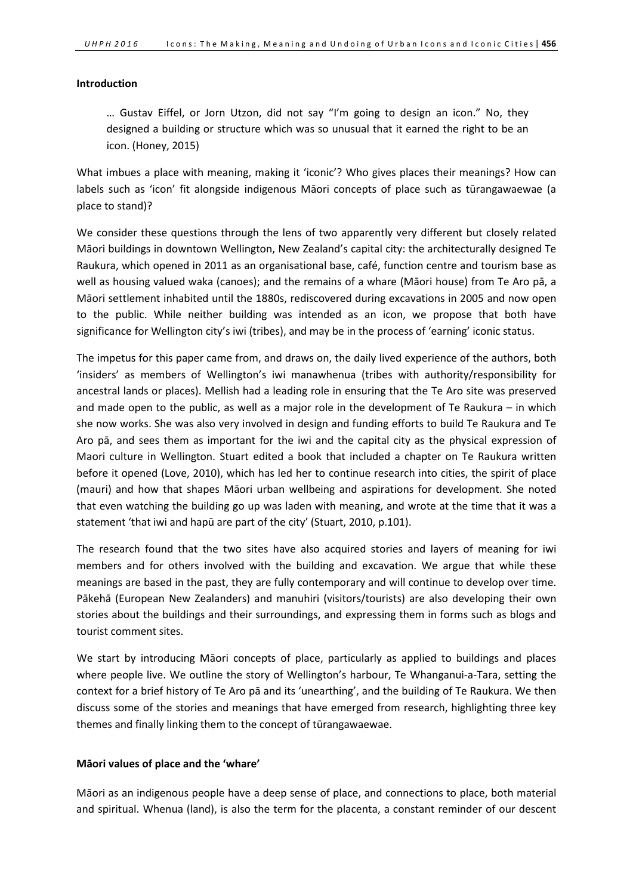#### **Introduction**

… Gustav Eiffel, or Jorn Utzon, did not say "I'm going to design an icon." No, they designed a building or structure which was so unusual that it earned the right to be an icon. (Honey, 2015)

What imbues a place with meaning, making it 'iconic'? Who gives places their meanings? How can labels such as 'icon' fit alongside indigenous Māori concepts of place such as tūrangawaewae (a place to stand)?

We consider these questions through the lens of two apparently very different but closely related Māori buildings in downtown Wellington, New Zealand's capital city: the architecturally designed Te Raukura, which opened in 2011 as an organisational base, café, function centre and tourism base as well as housing valued waka (canoes); and the remains of a whare (Māori house) from Te Aro pā, a Māori settlement inhabited until the 1880s, rediscovered during excavations in 2005 and now open to the public. While neither building was intended as an icon, we propose that both have significance for Wellington city's iwi (tribes), and may be in the process of 'earning' iconic status.

The impetus for this paper came from, and draws on, the daily lived experience of the authors, both 'insiders' as members of Wellington's iwi manawhenua (tribes with authority/responsibility for ancestral lands or places). Mellish had a leading role in ensuring that the Te Aro site was preserved and made open to the public, as well as a major role in the development of Te Raukura – in which she now works. She was also very involved in design and funding efforts to build Te Raukura and Te Aro pā, and sees them as important for the iwi and the capital city as the physical expression of Maori culture in Wellington. Stuart edited a book that included a chapter on Te Raukura written before it opened (Love, 2010), which has led her to continue research into cities, the spirit of place (mauri) and how that shapes Māori urban wellbeing and aspirations for development. She noted that even watching the building go up was laden with meaning, and wrote at the time that it was a statement 'that iwi and hapū are part of the city' (Stuart, 2010, p.101).

The research found that the two sites have also acquired stories and layers of meaning for iwi members and for others involved with the building and excavation. We argue that while these meanings are based in the past, they are fully contemporary and will continue to develop over time. Pākehā (European New Zealanders) and manuhiri (visitors/tourists) are also developing their own stories about the buildings and their surroundings, and expressing them in forms such as blogs and tourist comment sites.

We start by introducing Māori concepts of place, particularly as applied to buildings and places where people live. We outline the story of Wellington's harbour, Te Whanganui-a-Tara, setting the context for a brief history of Te Aro pā and its 'unearthing', and the building of Te Raukura. We then discuss some of the stories and meanings that have emerged from research, highlighting three key themes and finally linking them to the concept of tūrangawaewae.

# **Māori values of place and the 'whare'**

Māori as an indigenous people have a deep sense of place, and connections to place, both material and spiritual. Whenua (land), is also the term for the placenta, a constant reminder of our descent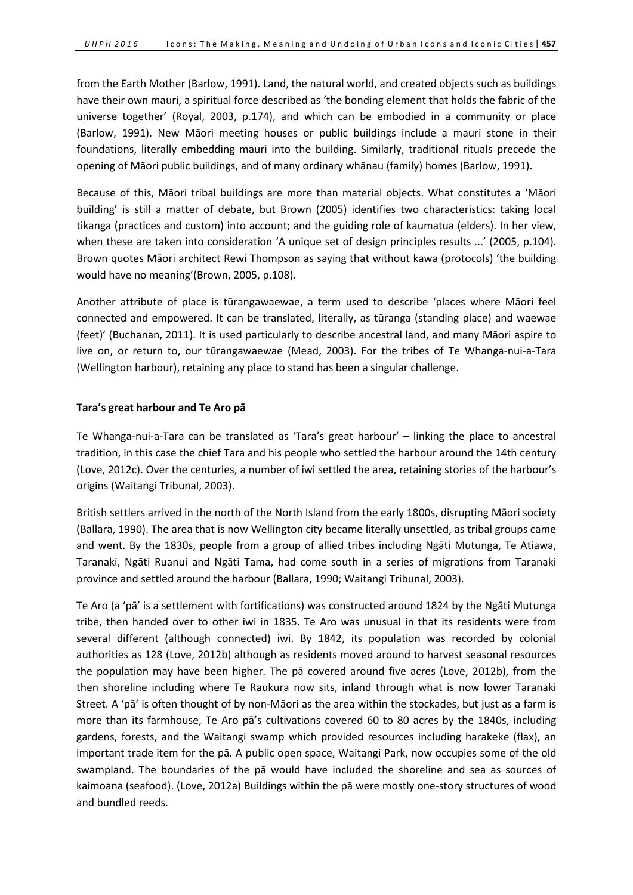from the Earth Mother (Barlow, 1991). Land, the natural world, and created objects such as buildings have their own mauri, a spiritual force described as 'the bonding element that holds the fabric of the universe together' (Royal, 2003, p.174), and which can be embodied in a community or place (Barlow, 1991). New Māori meeting houses or public buildings include a mauri stone in their foundations, literally embedding mauri into the building. Similarly, traditional rituals precede the opening of Māori public buildings, and of many ordinary whānau (family) homes (Barlow, 1991).

Because of this, Māori tribal buildings are more than material objects. What constitutes a 'Māori building' is still a matter of debate, but Brown (2005) identifies two characteristics: taking local tikanga (practices and custom) into account; and the guiding role of kaumatua (elders). In her view, when these are taken into consideration 'A unique set of design principles results ...' (2005, p.104). Brown quotes Māori architect Rewi Thompson as saying that without kawa (protocols) 'the building would have no meaning'(Brown, 2005, p.108).

Another attribute of place is tūrangawaewae, a term used to describe 'places where Māori feel connected and empowered. It can be translated, literally, as tūranga (standing place) and waewae (feet)' (Buchanan, 2011). It is used particularly to describe ancestral land, and many Māori aspire to live on, or return to, our tūrangawaewae (Mead, 2003). For the tribes of Te Whanga-nui-a-Tara (Wellington harbour), retaining any place to stand has been a singular challenge.

# **Tara's great harbour and Te Aro pā**

Te Whanga-nui-a-Tara can be translated as 'Tara's great harbour' – linking the place to ancestral tradition, in this case the chief Tara and his people who settled the harbour around the 14th century (Love, 2012c). Over the centuries, a number of iwi settled the area, retaining stories of the harbour's origins (Waitangi Tribunal, 2003).

British settlers arrived in the north of the North Island from the early 1800s, disrupting Māori society (Ballara, 1990). The area that is now Wellington city became literally unsettled, as tribal groups came and went. By the 1830s, people from a group of allied tribes including Ngāti Mutunga, Te Atiawa, Taranaki, Ngāti Ruanui and Ngāti Tama, had come south in a series of migrations from Taranaki province and settled around the harbour (Ballara, 1990; Waitangi Tribunal, 2003).

Te Aro (a 'pā' is a settlement with fortifications) was constructed around 1824 by the Ngāti Mutunga tribe, then handed over to other iwi in 1835. Te Aro was unusual in that its residents were from several different (although connected) iwi. By 1842, its population was recorded by colonial authorities as 128 (Love, 2012b) although as residents moved around to harvest seasonal resources the population may have been higher. The pā covered around five acres (Love, 2012b), from the then shoreline including where Te Raukura now sits, inland through what is now lower Taranaki Street. A 'pā' is often thought of by non-Māori as the area within the stockades, but just as a farm is more than its farmhouse, Te Aro pā's cultivations covered 60 to 80 acres by the 1840s, including gardens, forests, and the Waitangi swamp which provided resources including harakeke (flax), an important trade item for the pā. A public open space, Waitangi Park, now occupies some of the old swampland. The boundaries of the pā would have included the shoreline and sea as sources of kaimoana (seafood). (Love, 2012a) Buildings within the pā were mostly one-story structures of wood and bundled reeds.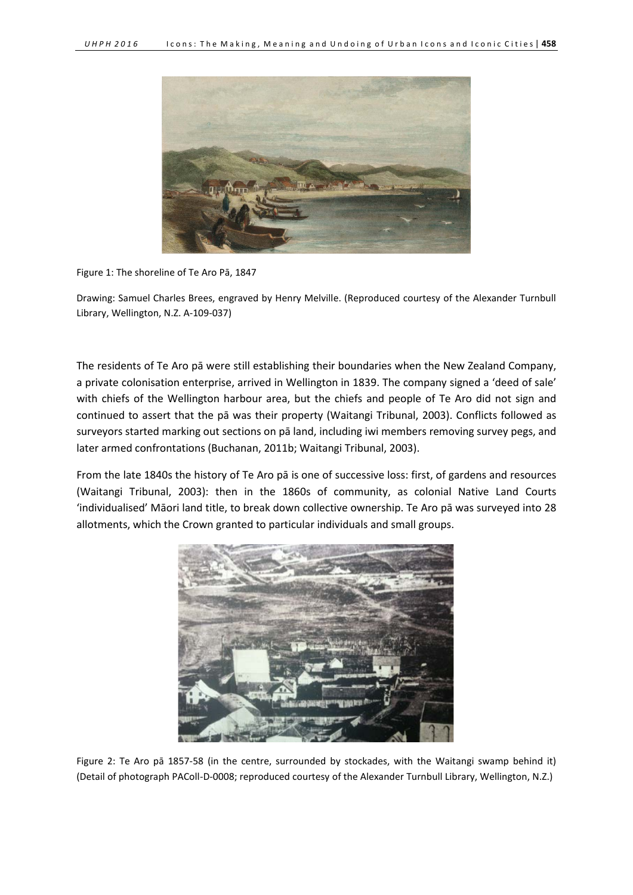

Figure 1: The shoreline of Te Aro Pā, 1847

Drawing: Samuel Charles Brees, engraved by Henry Melville. (Reproduced courtesy of the Alexander Turnbull Library, Wellington, N.Z. A-109-037)

The residents of Te Aro pā were still establishing their boundaries when the New Zealand Company, a private colonisation enterprise, arrived in Wellington in 1839. The company signed a 'deed of sale' with chiefs of the Wellington harbour area, but the chiefs and people of Te Aro did not sign and continued to assert that the pā was their property (Waitangi Tribunal, 2003). Conflicts followed as surveyors started marking out sections on pā land, including iwi members removing survey pegs, and later armed confrontations (Buchanan, 2011b; Waitangi Tribunal, 2003).

From the late 1840s the history of Te Aro pā is one of successive loss: first, of gardens and resources (Waitangi Tribunal, 2003): then in the 1860s of community, as colonial Native Land Courts 'individualised' Māori land title, to break down collective ownership. Te Aro pā was surveyed into 28 allotments, which the Crown granted to particular individuals and small groups.



Figure 2: Te Aro pā 1857-58 (in the centre, surrounded by stockades, with the Waitangi swamp behind it) (Detail of photograph PAColl-D-0008; reproduced courtesy of the Alexander Turnbull Library, Wellington, N.Z.)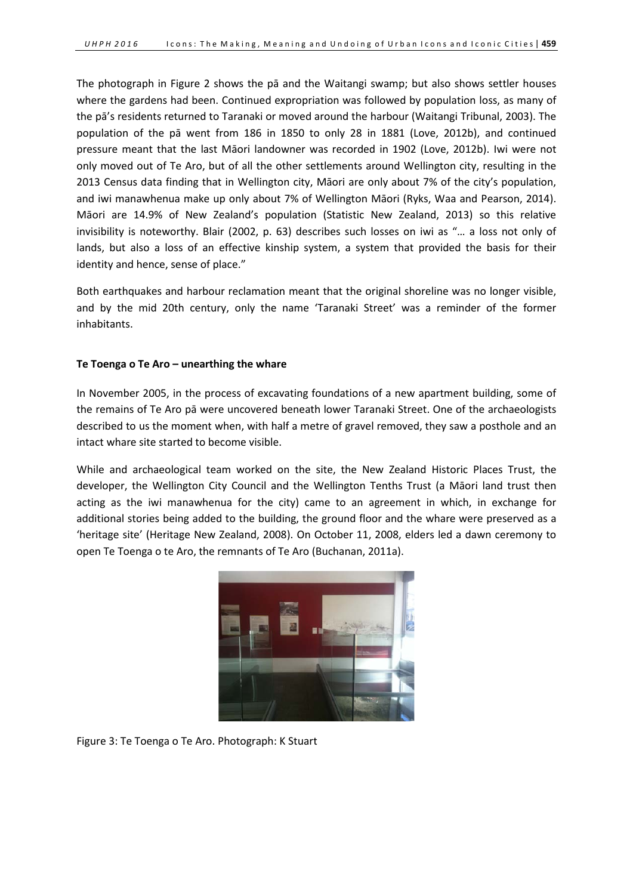The photograph in Figure 2 shows the pā and the Waitangi swamp; but also shows settler houses where the gardens had been. Continued expropriation was followed by population loss, as many of the pā's residents returned to Taranaki or moved around the harbour (Waitangi Tribunal, 2003). The population of the pā went from 186 in 1850 to only 28 in 1881 (Love, 2012b), and continued pressure meant that the last Māori landowner was recorded in 1902 (Love, 2012b). Iwi were not only moved out of Te Aro, but of all the other settlements around Wellington city, resulting in the 2013 Census data finding that in Wellington city, Māori are only about 7% of the city's population, and iwi manawhenua make up only about 7% of Wellington Māori (Ryks, Waa and Pearson, 2014). Māori are 14.9% of New Zealand's population (Statistic New Zealand, 2013) so this relative invisibility is noteworthy. Blair (2002, p. 63) describes such losses on iwi as "… a loss not only of lands, but also a loss of an effective kinship system, a system that provided the basis for their identity and hence, sense of place."

Both earthquakes and harbour reclamation meant that the original shoreline was no longer visible, and by the mid 20th century, only the name 'Taranaki Street' was a reminder of the former inhabitants.

## **Te Toenga o Te Aro – unearthing the whare**

In November 2005, in the process of excavating foundations of a new apartment building, some of the remains of Te Aro pā were uncovered beneath lower Taranaki Street. One of the archaeologists described to us the moment when, with half a metre of gravel removed, they saw a posthole and an intact whare site started to become visible.

While and archaeological team worked on the site, the New Zealand Historic Places Trust, the developer, the Wellington City Council and the Wellington Tenths Trust (a Māori land trust then acting as the iwi manawhenua for the city) came to an agreement in which, in exchange for additional stories being added to the building, the ground floor and the whare were preserved as a 'heritage site' (Heritage New Zealand, 2008). On October 11, 2008, elders led a dawn ceremony to open Te Toenga o te Aro, the remnants of Te Aro (Buchanan, 2011a).



Figure 3: Te Toenga o Te Aro. Photograph: K Stuart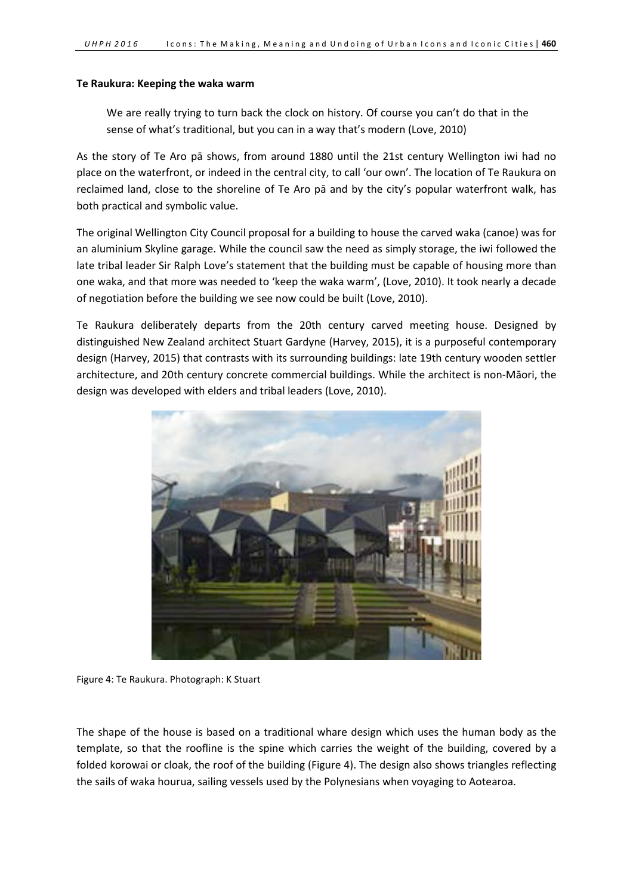## **Te Raukura: Keeping the waka warm**

We are really trying to turn back the clock on history. Of course you can't do that in the sense of what's traditional, but you can in a way that's modern (Love, 2010)

As the story of Te Aro pā shows, from around 1880 until the 21st century Wellington iwi had no place on the waterfront, or indeed in the central city, to call 'our own'. The location of Te Raukura on reclaimed land, close to the shoreline of Te Aro pā and by the city's popular waterfront walk, has both practical and symbolic value.

The original Wellington City Council proposal for a building to house the carved waka (canoe) was for an aluminium Skyline garage. While the council saw the need as simply storage, the iwi followed the late tribal leader Sir Ralph Love's statement that the building must be capable of housing more than one waka, and that more was needed to 'keep the waka warm', (Love, 2010). It took nearly a decade of negotiation before the building we see now could be built (Love, 2010).

Te Raukura deliberately departs from the 20th century carved meeting house. Designed by distinguished New Zealand architect Stuart Gardyne (Harvey, 2015), it is a purposeful contemporary design (Harvey, 2015) that contrasts with its surrounding buildings: late 19th century wooden settler architecture, and 20th century concrete commercial buildings. While the architect is non-Māori, the design was developed with elders and tribal leaders (Love, 2010).



Figure 4: Te Raukura. Photograph: K Stuart

The shape of the house is based on a traditional whare design which uses the human body as the template, so that the roofline is the spine which carries the weight of the building, covered by a folded korowai or cloak, the roof of the building (Figure 4). The design also shows triangles reflecting the sails of waka hourua, sailing vessels used by the Polynesians when voyaging to Aotearoa.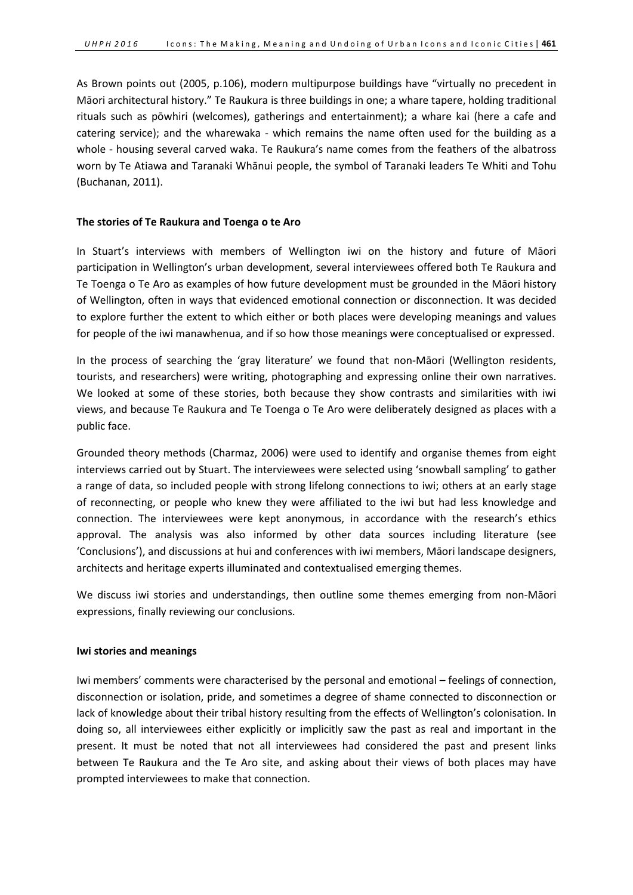As Brown points out (2005, p.106), modern multipurpose buildings have "virtually no precedent in Māori architectural history." Te Raukura is three buildings in one; a whare tapere, holding traditional rituals such as pōwhiri (welcomes), gatherings and entertainment); a whare kai (here a cafe and catering service); and the wharewaka - which remains the name often used for the building as a whole - housing several carved waka. Te Raukura's name comes from the feathers of the albatross worn by Te Atiawa and Taranaki Whānui people, the symbol of Taranaki leaders Te Whiti and Tohu (Buchanan, 2011).

# **The stories of Te Raukura and Toenga o te Aro**

In Stuart's interviews with members of Wellington iwi on the history and future of Māori participation in Wellington's urban development, several interviewees offered both Te Raukura and Te Toenga o Te Aro as examples of how future development must be grounded in the Māori history of Wellington, often in ways that evidenced emotional connection or disconnection. It was decided to explore further the extent to which either or both places were developing meanings and values for people of the iwi manawhenua, and if so how those meanings were conceptualised or expressed.

In the process of searching the 'gray literature' we found that non-Māori (Wellington residents, tourists, and researchers) were writing, photographing and expressing online their own narratives. We looked at some of these stories, both because they show contrasts and similarities with iwi views, and because Te Raukura and Te Toenga o Te Aro were deliberately designed as places with a public face.

Grounded theory methods (Charmaz, 2006) were used to identify and organise themes from eight interviews carried out by Stuart. The interviewees were selected using 'snowball sampling' to gather a range of data, so included people with strong lifelong connections to iwi; others at an early stage of reconnecting, or people who knew they were affiliated to the iwi but had less knowledge and connection. The interviewees were kept anonymous, in accordance with the research's ethics approval. The analysis was also informed by other data sources including literature (see 'Conclusions'), and discussions at hui and conferences with iwi members, Māori landscape designers, architects and heritage experts illuminated and contextualised emerging themes.

We discuss iwi stories and understandings, then outline some themes emerging from non-Māori expressions, finally reviewing our conclusions.

#### **Iwi stories and meanings**

Iwi members' comments were characterised by the personal and emotional – feelings of connection, disconnection or isolation, pride, and sometimes a degree of shame connected to disconnection or lack of knowledge about their tribal history resulting from the effects of Wellington's colonisation. In doing so, all interviewees either explicitly or implicitly saw the past as real and important in the present. It must be noted that not all interviewees had considered the past and present links between Te Raukura and the Te Aro site, and asking about their views of both places may have prompted interviewees to make that connection.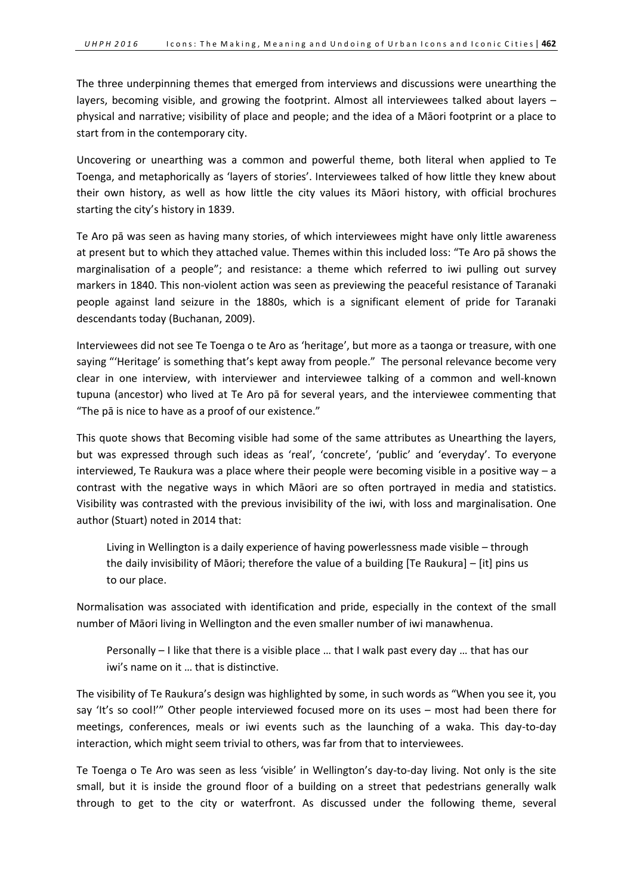The three underpinning themes that emerged from interviews and discussions were unearthing the layers, becoming visible, and growing the footprint. Almost all interviewees talked about layers – physical and narrative; visibility of place and people; and the idea of a Māori footprint or a place to start from in the contemporary city.

Uncovering or unearthing was a common and powerful theme, both literal when applied to Te Toenga, and metaphorically as 'layers of stories'. Interviewees talked of how little they knew about their own history, as well as how little the city values its Māori history, with official brochures starting the city's history in 1839.

Te Aro pā was seen as having many stories, of which interviewees might have only little awareness at present but to which they attached value. Themes within this included loss: "Te Aro pā shows the marginalisation of a people"; and resistance: a theme which referred to iwi pulling out survey markers in 1840. This non-violent action was seen as previewing the peaceful resistance of Taranaki people against land seizure in the 1880s, which is a significant element of pride for Taranaki descendants today (Buchanan, 2009).

Interviewees did not see Te Toenga o te Aro as 'heritage', but more as a taonga or treasure, with one saying "'Heritage' is something that's kept away from people." The personal relevance become very clear in one interview, with interviewer and interviewee talking of a common and well-known tupuna (ancestor) who lived at Te Aro pā for several years, and the interviewee commenting that "The pā is nice to have as a proof of our existence."

This quote shows that Becoming visible had some of the same attributes as Unearthing the layers, but was expressed through such ideas as 'real', 'concrete', 'public' and 'everyday'. To everyone interviewed, Te Raukura was a place where their people were becoming visible in a positive way – a contrast with the negative ways in which Māori are so often portrayed in media and statistics. Visibility was contrasted with the previous invisibility of the iwi, with loss and marginalisation. One author (Stuart) noted in 2014 that:

Living in Wellington is a daily experience of having powerlessness made visible – through the daily invisibility of Māori; therefore the value of a building [Te Raukura] – [it] pins us to our place.

Normalisation was associated with identification and pride, especially in the context of the small number of Māori living in Wellington and the even smaller number of iwi manawhenua.

Personally – I like that there is a visible place … that I walk past every day … that has our iwi's name on it … that is distinctive.

The visibility of Te Raukura's design was highlighted by some, in such words as "When you see it, you say 'It's so cool!'" Other people interviewed focused more on its uses – most had been there for meetings, conferences, meals or iwi events such as the launching of a waka. This day-to-day interaction, which might seem trivial to others, was far from that to interviewees.

Te Toenga o Te Aro was seen as less 'visible' in Wellington's day-to-day living. Not only is the site small, but it is inside the ground floor of a building on a street that pedestrians generally walk through to get to the city or waterfront. As discussed under the following theme, several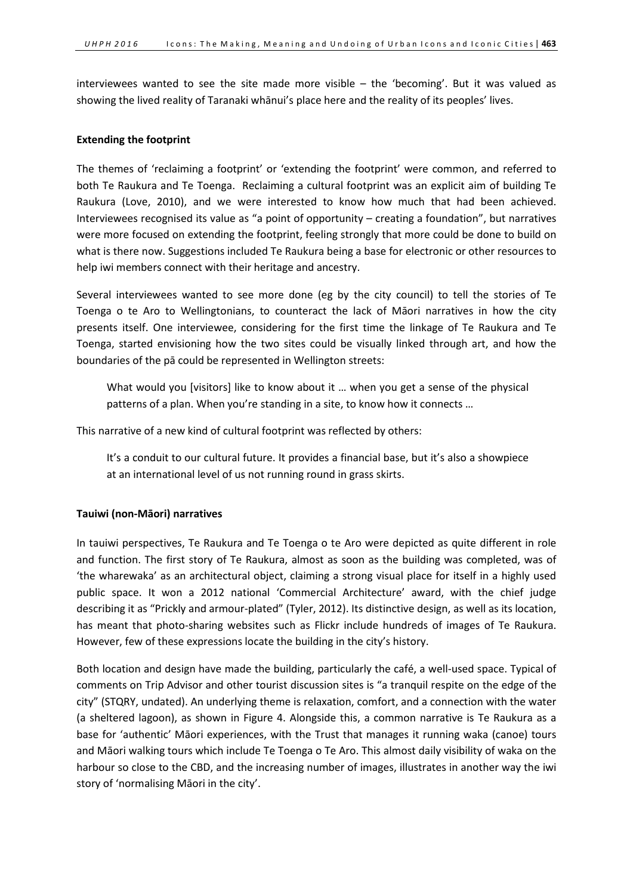interviewees wanted to see the site made more visible – the 'becoming'. But it was valued as showing the lived reality of Taranaki whānui's place here and the reality of its peoples' lives.

## **Extending the footprint**

The themes of 'reclaiming a footprint' or 'extending the footprint' were common, and referred to both Te Raukura and Te Toenga. Reclaiming a cultural footprint was an explicit aim of building Te Raukura (Love, 2010), and we were interested to know how much that had been achieved. Interviewees recognised its value as "a point of opportunity – creating a foundation", but narratives were more focused on extending the footprint, feeling strongly that more could be done to build on what is there now. Suggestions included Te Raukura being a base for electronic or other resources to help iwi members connect with their heritage and ancestry.

Several interviewees wanted to see more done (eg by the city council) to tell the stories of Te Toenga o te Aro to Wellingtonians, to counteract the lack of Māori narratives in how the city presents itself. One interviewee, considering for the first time the linkage of Te Raukura and Te Toenga, started envisioning how the two sites could be visually linked through art, and how the boundaries of the pā could be represented in Wellington streets:

What would you [visitors] like to know about it … when you get a sense of the physical patterns of a plan. When you're standing in a site, to know how it connects ...

This narrative of a new kind of cultural footprint was reflected by others:

It's a conduit to our cultural future. It provides a financial base, but it's also a showpiece at an international level of us not running round in grass skirts.

# **Tauiwi (non-Māori) narratives**

In tauiwi perspectives, Te Raukura and Te Toenga o te Aro were depicted as quite different in role and function. The first story of Te Raukura, almost as soon as the building was completed, was of 'the wharewaka' as an architectural object, claiming a strong visual place for itself in a highly used public space. It won a 2012 national 'Commercial Architecture' award, with the chief judge describing it as "Prickly and armour-plated" (Tyler, 2012). Its distinctive design, as well as its location, has meant that photo-sharing websites such as Flickr include hundreds of images of Te Raukura. However, few of these expressions locate the building in the city's history.

Both location and design have made the building, particularly the café, a well-used space. Typical of comments on Trip Advisor and other tourist discussion sites is "a tranquil respite on the edge of the city" (STQRY, undated). An underlying theme is relaxation, comfort, and a connection with the water (a sheltered lagoon), as shown in Figure 4. Alongside this, a common narrative is Te Raukura as a base for 'authentic' Māori experiences, with the Trust that manages it running waka (canoe) tours and Māori walking tours which include Te Toenga o Te Aro. This almost daily visibility of waka on the harbour so close to the CBD, and the increasing number of images, illustrates in another way the iwi story of 'normalising Māori in the city'.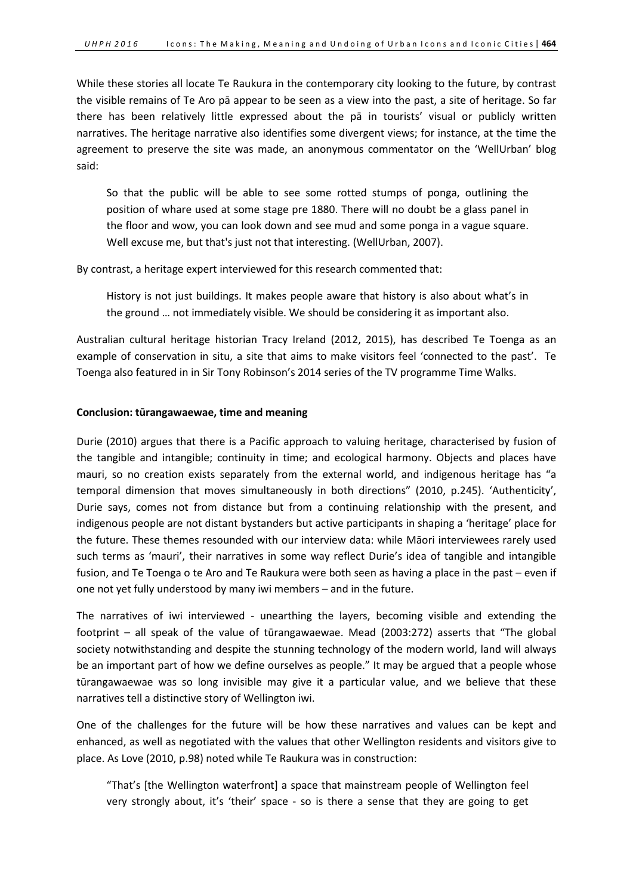While these stories all locate Te Raukura in the contemporary city looking to the future, by contrast the visible remains of Te Aro pā appear to be seen as a view into the past, a site of heritage. So far there has been relatively little expressed about the pā in tourists' visual or publicly written narratives. The heritage narrative also identifies some divergent views; for instance, at the time the agreement to preserve the site was made, an anonymous commentator on the 'WellUrban' blog said:

So that the public will be able to see some rotted stumps of ponga, outlining the position of whare used at some stage pre 1880. There will no doubt be a glass panel in the floor and wow, you can look down and see mud and some ponga in a vague square. Well excuse me, but that's just not that interesting. (WellUrban, 2007).

By contrast, a heritage expert interviewed for this research commented that:

History is not just buildings. It makes people aware that history is also about what's in the ground … not immediately visible. We should be considering it as important also.

Australian cultural heritage historian Tracy Ireland (2012, 2015), has described Te Toenga as an example of conservation in situ, a site that aims to make visitors feel 'connected to the past'. Te Toenga also featured in in Sir Tony Robinson's 2014 series of the TV programme Time Walks.

## **Conclusion: tūrangawaewae, time and meaning**

Durie (2010) argues that there is a Pacific approach to valuing heritage, characterised by fusion of the tangible and intangible; continuity in time; and ecological harmony. Objects and places have mauri, so no creation exists separately from the external world, and indigenous heritage has "a temporal dimension that moves simultaneously in both directions" (2010, p.245). 'Authenticity', Durie says, comes not from distance but from a continuing relationship with the present, and indigenous people are not distant bystanders but active participants in shaping a 'heritage' place for the future. These themes resounded with our interview data: while Māori interviewees rarely used such terms as 'mauri', their narratives in some way reflect Durie's idea of tangible and intangible fusion, and Te Toenga o te Aro and Te Raukura were both seen as having a place in the past – even if one not yet fully understood by many iwi members – and in the future.

The narratives of iwi interviewed - unearthing the layers, becoming visible and extending the footprint – all speak of the value of tūrangawaewae. Mead (2003:272) asserts that "The global society notwithstanding and despite the stunning technology of the modern world, land will always be an important part of how we define ourselves as people." It may be argued that a people whose tūrangawaewae was so long invisible may give it a particular value, and we believe that these narratives tell a distinctive story of Wellington iwi.

One of the challenges for the future will be how these narratives and values can be kept and enhanced, as well as negotiated with the values that other Wellington residents and visitors give to place. As Love (2010, p.98) noted while Te Raukura was in construction:

"That's [the Wellington waterfront] a space that mainstream people of Wellington feel very strongly about, it's 'their' space - so is there a sense that they are going to get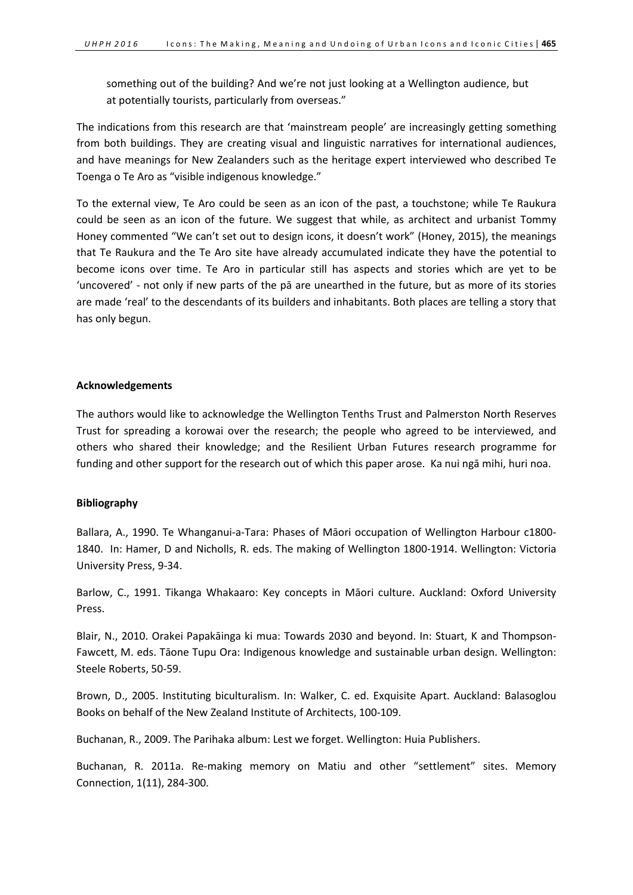something out of the building? And we're not just looking at a Wellington audience, but at potentially tourists, particularly from overseas."

The indications from this research are that 'mainstream people' are increasingly getting something from both buildings. They are creating visual and linguistic narratives for international audiences, and have meanings for New Zealanders such as the heritage expert interviewed who described Te Toenga o Te Aro as "visible indigenous knowledge."

To the external view, Te Aro could be seen as an icon of the past, a touchstone; while Te Raukura could be seen as an icon of the future. We suggest that while, as architect and urbanist Tommy Honey commented "We can't set out to design icons, it doesn't work" (Honey, 2015), the meanings that Te Raukura and the Te Aro site have already accumulated indicate they have the potential to become icons over time. Te Aro in particular still has aspects and stories which are yet to be 'uncovered' - not only if new parts of the pā are unearthed in the future, but as more of its stories are made 'real' to the descendants of its builders and inhabitants. Both places are telling a story that has only begun.

# **Acknowledgements**

The authors would like to acknowledge the Wellington Tenths Trust and Palmerston North Reserves Trust for spreading a korowai over the research; the people who agreed to be interviewed, and others who shared their knowledge; and the Resilient Urban Futures research programme for funding and other support for the research out of which this paper arose. Ka nui ngā mihi, huri noa.

# **Bibliography**

Ballara, A., 1990. Te Whanganui-a-Tara: Phases of Māori occupation of Wellington Harbour c1800- 1840. In: Hamer, D and Nicholls, R. eds. The making of Wellington 1800-1914. Wellington: Victoria University Press, 9-34.

Barlow, C., 1991. Tikanga Whakaaro: Key concepts in Māori culture. Auckland: Oxford University Press.

Blair, N., 2010. Orakei Papakāinga ki mua: Towards 2030 and beyond. In: Stuart, K and Thompson-Fawcett, M. eds. Tāone Tupu Ora: Indigenous knowledge and sustainable urban design. Wellington: Steele Roberts, 50-59.

Brown, D., 2005. Instituting biculturalism. In: Walker, C. ed. Exquisite Apart. Auckland: Balasoglou Books on behalf of the New Zealand Institute of Architects, 100-109.

Buchanan, R., 2009. The Parihaka album: Lest we forget. Wellington: Huia Publishers.

Buchanan, R. 2011a. Re-making memory on Matiu and other "settlement" sites. Memory Connection, 1(11), 284-300.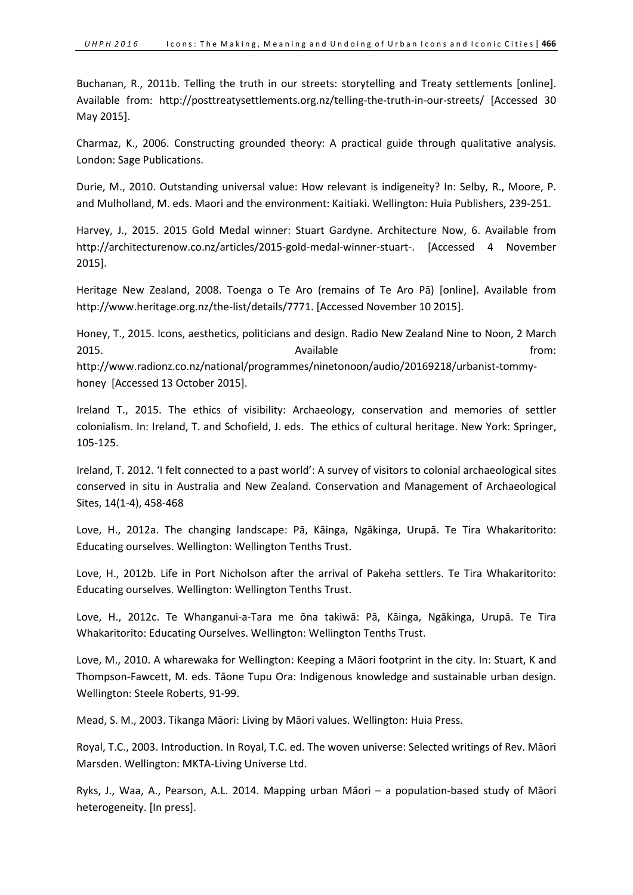Buchanan, R., 2011b. Telling the truth in our streets: storytelling and Treaty settlements [online]. Available from: http://posttreatysettlements.org.nz/telling-the-truth-in-our-streets/ [Accessed 30 May 2015].

Charmaz, K., 2006. Constructing grounded theory: A practical guide through qualitative analysis. London: Sage Publications.

Durie, M., 2010. Outstanding universal value: How relevant is indigeneity? In: Selby, R., Moore, P. and Mulholland, M. eds. Maori and the environment: Kaitiaki. Wellington: Huia Publishers, 239-251.

Harvey, J., 2015. 2015 Gold Medal winner: Stuart Gardyne. Architecture Now, 6. Available from http://architecturenow.co.nz/articles/2015-gold-medal-winner-stuart-. [Accessed 4 November 2015].

Heritage New Zealand, 2008. Toenga o Te Aro (remains of Te Aro Pā) [online]. Available from http://www.heritage.org.nz/the-list/details/7771. [Accessed November 10 2015].

Honey, T., 2015. Icons, aesthetics, politicians and design. Radio New Zealand Nine to Noon, 2 March 2015. The contract of the contract of Available contract of the from: the from:

http://www.radionz.co.nz/national/programmes/ninetonoon/audio/20169218/urbanist-tommyhoney [Accessed 13 October 2015].

Ireland T., 2015. The ethics of visibility: Archaeology, conservation and memories of settler colonialism. In: Ireland, T. and Schofield, J. eds. The ethics of cultural heritage. New York: Springer, 105-125.

Ireland, T. 2012. 'I felt connected to a past world': A survey of visitors to colonial archaeological sites conserved in situ in Australia and New Zealand. Conservation and Management of Archaeological Sites, 14(1-4), 458-468

Love, H., 2012a. The changing landscape: Pā, Kāinga, Ngākinga, Urupā. Te Tira Whakaritorito: Educating ourselves. Wellington: Wellington Tenths Trust.

Love, H., 2012b. Life in Port Nicholson after the arrival of Pakeha settlers. Te Tira Whakaritorito: Educating ourselves. Wellington: Wellington Tenths Trust.

Love, H., 2012c. Te Whanganui-a-Tara me ōna takiwā: Pā, Kāinga, Ngākinga, Urupā. Te Tira Whakaritorito: Educating Ourselves. Wellington: Wellington Tenths Trust.

Love, M., 2010. A wharewaka for Wellington: Keeping a Māori footprint in the city. In: Stuart, K and Thompson-Fawcett, M. eds. Tāone Tupu Ora: Indigenous knowledge and sustainable urban design. Wellington: Steele Roberts, 91-99.

Mead, S. M., 2003. Tikanga Māori: Living by Māori values. Wellington: Huia Press.

Royal, T.C., 2003. Introduction. In Royal, T.C. ed. The woven universe: Selected writings of Rev. Māori Marsden. Wellington: MKTA-Living Universe Ltd.

Ryks, J., Waa, A., Pearson, A.L. 2014. Mapping urban Māori – a population-based study of Māori heterogeneity. [In press].